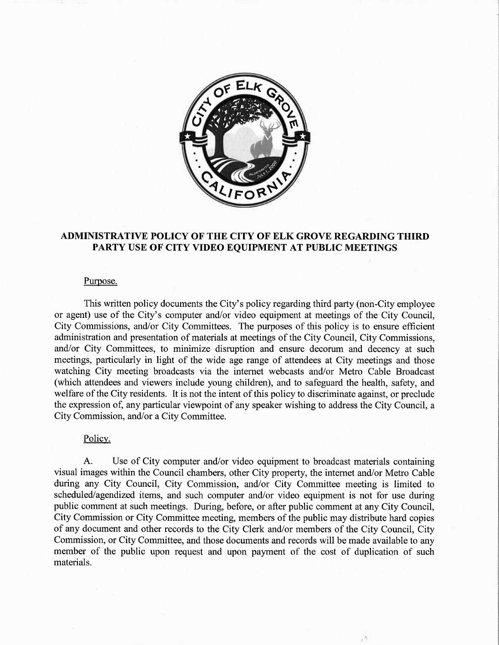

## ADMINISTRATIVE POLICY OF THE CITY OF ELK GROVE REGARDING THIRD PARTY USE OF CITY VIDEO EQUIPMENT AT PUBLIC MEETINGS

## Purpose.

This written policy documents the City's policy regarding third party (non-City employee or agent) use of the City's computer and/or video equipment at meetings of the City Council, City Commissions, and/or City Committees. The purposes of this policy is to ensure efficient administration and presentation of materials at meetings of the City Council, City Commissions, and/or City Committees, to minimize disruption and ensure decorum and decency at such meetings, particularly in light of the wide age range of attendees at City meetings and those watching City meeting broadcasts via the internet webcasts and/or Metro Cable Broadcast (which attendees and viewers include young children), and to safeguard the health, safety, and welfare of the City residents. It is not the intent of this policy to discriminate against, or preclude the expression of, any particular viewpoint of any speaker wishing to address the City Council, a City Commission, and/or a City Committee.

## Policy.

A. Use of City computer and/or video equipment to broadcast materials containing visual images within the Council chambers, other City property, the internet and/or Metro Cable during any City Council, City Commission, and/or City Committee meeting is limited to scheduled/agendized items, and such computer and/or video equipment is not for use during public comment at such meetings. During, before, or after public comment at any City Council, City Commission or City Committee meeting, members of the public may distribute hard copies of any document and other records to the City Clerk and/or members of the City Council, City Commission, or City Committee, and those documents and records will be made available to any member of the public upon request and upon payment of the cost of duplication of such materials.

 $\mathcal{L}$